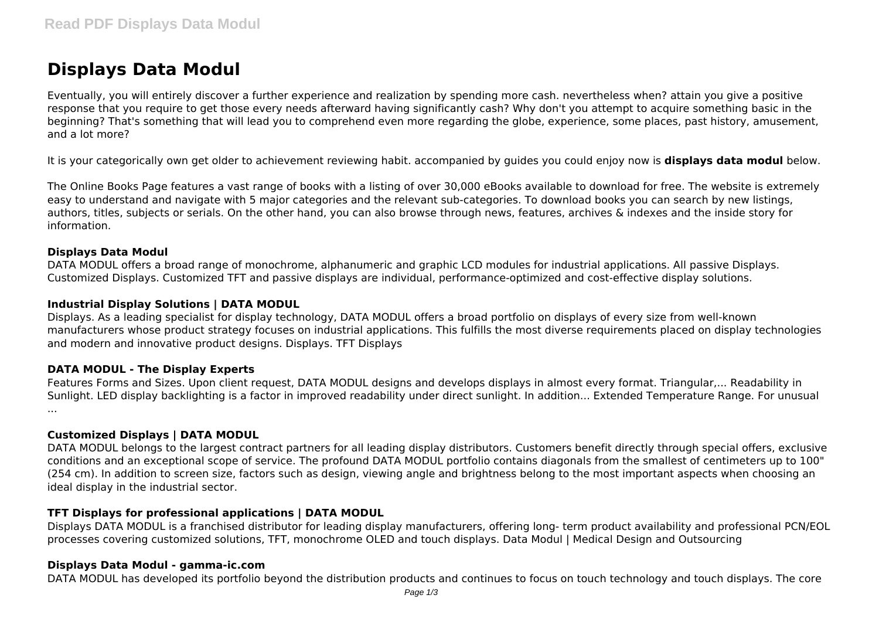# **Displays Data Modul**

Eventually, you will entirely discover a further experience and realization by spending more cash. nevertheless when? attain you give a positive response that you require to get those every needs afterward having significantly cash? Why don't you attempt to acquire something basic in the beginning? That's something that will lead you to comprehend even more regarding the globe, experience, some places, past history, amusement, and a lot more?

It is your categorically own get older to achievement reviewing habit. accompanied by guides you could enjoy now is **displays data modul** below.

The Online Books Page features a vast range of books with a listing of over 30,000 eBooks available to download for free. The website is extremely easy to understand and navigate with 5 major categories and the relevant sub-categories. To download books you can search by new listings, authors, titles, subjects or serials. On the other hand, you can also browse through news, features, archives & indexes and the inside story for information.

#### **Displays Data Modul**

DATA MODUL offers a broad range of monochrome, alphanumeric and graphic LCD modules for industrial applications. All passive Displays. Customized Displays. Customized TFT and passive displays are individual, performance-optimized and cost-effective display solutions.

#### **Industrial Display Solutions | DATA MODUL**

Displays. As a leading specialist for display technology, DATA MODUL offers a broad portfolio on displays of every size from well-known manufacturers whose product strategy focuses on industrial applications. This fulfills the most diverse requirements placed on display technologies and modern and innovative product designs. Displays. TFT Displays

#### **DATA MODUL - The Display Experts**

Features Forms and Sizes. Upon client request, DATA MODUL designs and develops displays in almost every format. Triangular,... Readability in Sunlight. LED display backlighting is a factor in improved readability under direct sunlight. In addition... Extended Temperature Range. For unusual ...

#### **Customized Displays | DATA MODUL**

DATA MODUL belongs to the largest contract partners for all leading display distributors. Customers benefit directly through special offers, exclusive conditions and an exceptional scope of service. The profound DATA MODUL portfolio contains diagonals from the smallest of centimeters up to 100" (254 cm). In addition to screen size, factors such as design, viewing angle and brightness belong to the most important aspects when choosing an ideal display in the industrial sector.

## **TFT Displays for professional applications | DATA MODUL**

Displays DATA MODUL is a franchised distributor for leading display manufacturers, offering long- term product availability and professional PCN/EOL processes covering customized solutions, TFT, monochrome OLED and touch displays. Data Modul | Medical Design and Outsourcing

## **Displays Data Modul - gamma-ic.com**

DATA MODUL has developed its portfolio beyond the distribution products and continues to focus on touch technology and touch displays. The core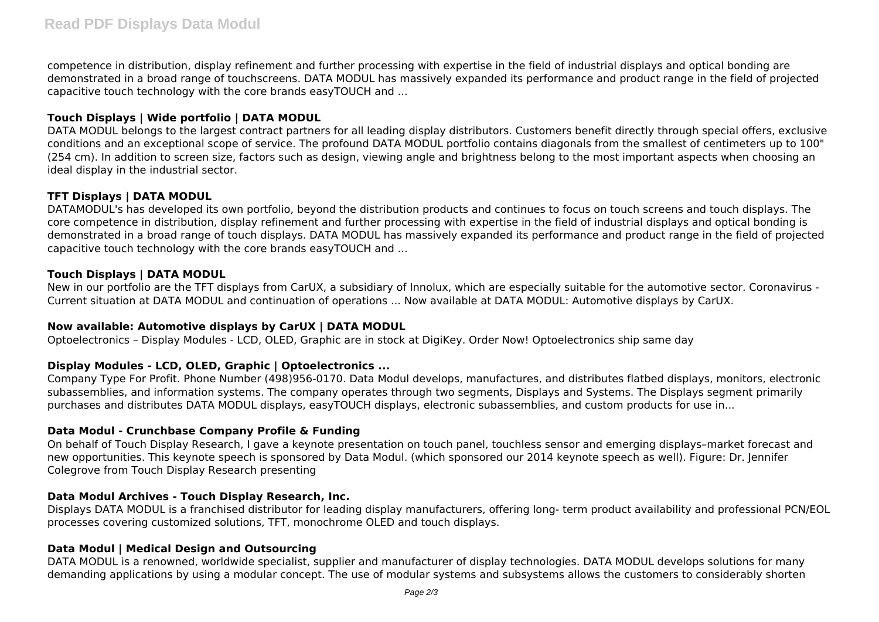competence in distribution, display refinement and further processing with expertise in the field of industrial displays and optical bonding are demonstrated in a broad range of touchscreens. DATA MODUL has massively expanded its performance and product range in the field of projected capacitive touch technology with the core brands easyTOUCH and ...

# **Touch Displays | Wide portfolio | DATA MODUL**

DATA MODUL belongs to the largest contract partners for all leading display distributors. Customers benefit directly through special offers, exclusive conditions and an exceptional scope of service. The profound DATA MODUL portfolio contains diagonals from the smallest of centimeters up to 100" (254 cm). In addition to screen size, factors such as design, viewing angle and brightness belong to the most important aspects when choosing an ideal display in the industrial sector.

# **TFT Displays | DATA MODUL**

DATAMODUL's has developed its own portfolio, beyond the distribution products and continues to focus on touch screens and touch displays. The core competence in distribution, display refinement and further processing with expertise in the field of industrial displays and optical bonding is demonstrated in a broad range of touch displays. DATA MODUL has massively expanded its performance and product range in the field of projected capacitive touch technology with the core brands easyTOUCH and ...

## **Touch Displays | DATA MODUL**

New in our portfolio are the TFT displays from CarUX, a subsidiary of Innolux, which are especially suitable for the automotive sector. Coronavirus - Current situation at DATA MODUL and continuation of operations ... Now available at DATA MODUL: Automotive displays by CarUX.

## **Now available: Automotive displays by CarUX | DATA MODUL**

Optoelectronics – Display Modules - LCD, OLED, Graphic are in stock at DigiKey. Order Now! Optoelectronics ship same day

## **Display Modules - LCD, OLED, Graphic | Optoelectronics ...**

Company Type For Profit. Phone Number (498)956-0170. Data Modul develops, manufactures, and distributes flatbed displays, monitors, electronic subassemblies, and information systems. The company operates through two segments, Displays and Systems. The Displays segment primarily purchases and distributes DATA MODUL displays, easyTOUCH displays, electronic subassemblies, and custom products for use in...

## **Data Modul - Crunchbase Company Profile & Funding**

On behalf of Touch Display Research, I gave a keynote presentation on touch panel, touchless sensor and emerging displays–market forecast and new opportunities. This keynote speech is sponsored by Data Modul. (which sponsored our 2014 keynote speech as well). Figure: Dr. Jennifer Colegrove from Touch Display Research presenting

## **Data Modul Archives - Touch Display Research, Inc.**

Displays DATA MODUL is a franchised distributor for leading display manufacturers, offering long- term product availability and professional PCN/EOL processes covering customized solutions, TFT, monochrome OLED and touch displays.

## **Data Modul | Medical Design and Outsourcing**

DATA MODUL is a renowned, worldwide specialist, supplier and manufacturer of display technologies. DATA MODUL develops solutions for many demanding applications by using a modular concept. The use of modular systems and subsystems allows the customers to considerably shorten